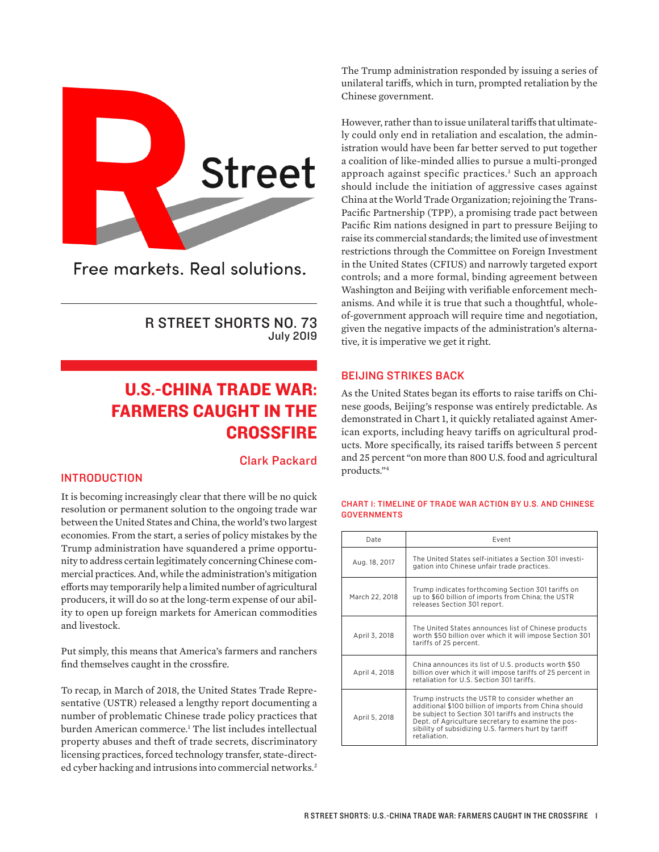<span id="page-0-0"></span>

Free markets, Real solutions.

R STREET SHORTS NO. 73 July 2019

# U.S.-CHINA TRADE WAR: FARMERS CAUGHT IN THE **CROSSFIRE**

## Clark Packard

### INTRODUCTION

It is becoming increasingly clear that there will be no quick resolution or permanent solution to the ongoing trade war between the United States and China, the world's two largest economies. From the start, a series of policy mistakes by the Trump administration have squandered a prime opportunity to address certain legitimately concerning Chinese commercial practices. And, while the administration's mitigation efforts may temporarily help a limited number of agricultural producers, it will do so at the long-term expense of our ability to open up foreign markets for American commodities and livestock.

Put simply, this means that America's farmers and ranchers find themselves caught in the crossfire.

To recap, in March of 2018, the United States Trade Representative (USTR) released a lengthy report documenting a number of problematic Chinese trade policy practices that burden American commerce.<sup>[1](#page-3-0)</sup> The list includes intellectual property abuses and theft of trade secrets, discriminatory licensing practices, forced technology transfer, state-direct-ed cyber hacking and intrusions into commercial networks.<sup>[2](#page-3-0)</sup>

The Trump administration responded by issuing a series of unilateral tariffs, which in turn, prompted retaliation by the Chinese government.

However, rather than to issue unilateral tariffs that ultimately could only end in retaliation and escalation, the administration would have been far better served to put together a coalition of like-minded allies to pursue a multi-pronged approach against specific practices.[3](#page-3-0) Such an approach should include the initiation of aggressive cases against China at the World Trade Organization; rejoining the Trans-Pacific Partnership (TPP), a promising trade pact between Pacific Rim nations designed in part to pressure Beijing to raise its commercial standards; the limited use of investment restrictions through the Committee on Foreign Investment in the United States (CFIUS) and narrowly targeted export controls; and a more formal, binding agreement between Washington and Beijing with verifiable enforcement mechanisms. And while it is true that such a thoughtful, wholeof-government approach will require time and negotiation, given the negative impacts of the administration's alternative, it is imperative we get it right.

#### BEIJING STRIKES BACK

As the United States began its efforts to raise tariffs on Chinese goods, Beijing's response was entirely predictable. As demonstrated in Chart 1, it quickly retaliated against American exports, including heavy tariffs on agricultural products. More specifically, its raised tariffs between 5 percent and 25 percent "on more than 800 U.S. food and agricultural products."[4](#page-3-0)

| Date           | Event                                                                                                                                                                                                                                                                                        |  |  |  |
|----------------|----------------------------------------------------------------------------------------------------------------------------------------------------------------------------------------------------------------------------------------------------------------------------------------------|--|--|--|
| Aug. 18, 2017  | The United States self-initiates a Section 301 investi-<br>gation into Chinese unfair trade practices.                                                                                                                                                                                       |  |  |  |
| March 22, 2018 | Trump indicates forthcoming Section 301 tariffs on<br>up to \$60 billion of imports from China; the USTR<br>releases Section 301 report.                                                                                                                                                     |  |  |  |
| April 3, 2018  | The United States announces list of Chinese products<br>worth \$50 billion over which it will impose Section 301<br>tariffs of 25 percent.                                                                                                                                                   |  |  |  |
| April 4, 2018  | China announces its list of U.S. products worth \$50<br>billion over which it will impose tariffs of 25 percent in<br>retaliation for U.S. Section 301 tariffs.                                                                                                                              |  |  |  |
| April 5, 2018  | Trump instructs the USTR to consider whether an<br>additional \$100 billion of imports from China should<br>be subject to Section 301 tariffs and instructs the<br>Dept. of Agriculture secretary to examine the pos-<br>sibility of subsidizing U.S. farmers hurt by tariff<br>retaliation. |  |  |  |

#### CHART 1: TIMELINE OF TRADE WAR ACTION BY U.S. AND CHINESE **GOVERNMENTS**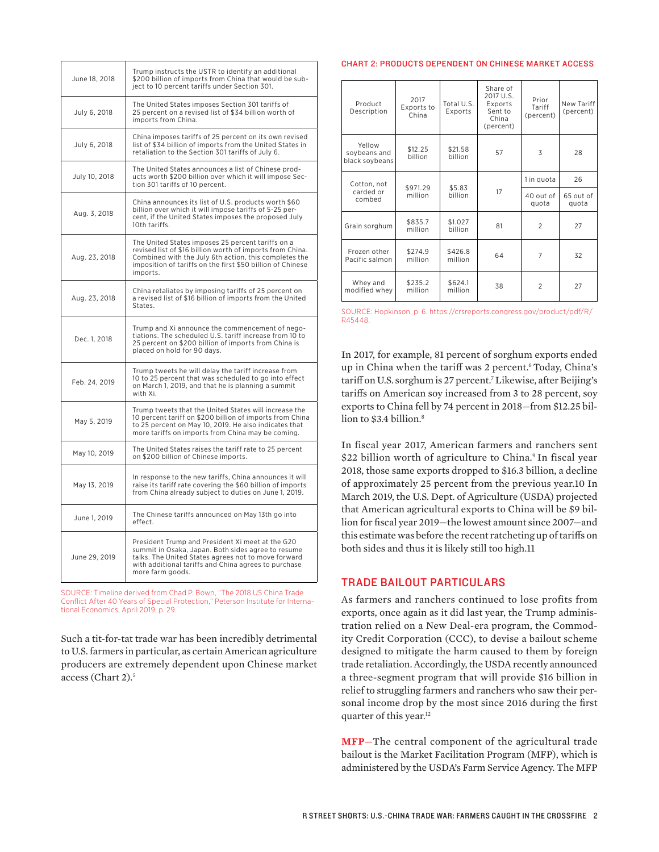<span id="page-1-0"></span>

| June 18, 2018 | Trump instructs the USTR to identify an additional<br>\$200 billion of imports from China that would be sub-<br>ject to 10 percent tariffs under Section 301.                                                                                     |  |  |  |
|---------------|---------------------------------------------------------------------------------------------------------------------------------------------------------------------------------------------------------------------------------------------------|--|--|--|
| July 6, 2018  | The United States imposes Section 301 tariffs of<br>25 percent on a revised list of \$34 billion worth of<br>imports from China.                                                                                                                  |  |  |  |
| July 6, 2018  | China imposes tariffs of 25 percent on its own revised<br>list of \$34 billion of imports from the United States in<br>retaliation to the Section 301 tariffs of July 6.                                                                          |  |  |  |
| July 10, 2018 | The United States announces a list of Chinese prod-<br>ucts worth \$200 billion over which it will impose Sec-<br>tion 301 tariffs of 10 percent.                                                                                                 |  |  |  |
| Aug. 3, 2018  | China announces its list of U.S. products worth \$60<br>billion over which it will impose tariffs of 5-25 per-<br>cent, if the United States imposes the proposed July<br>10th tariffs.                                                           |  |  |  |
| Aug. 23, 2018 | The United States imposes 25 percent tariffs on a<br>revised list of \$16 billion worth of imports from China.<br>Combined with the July 6th action, this completes the<br>imposition of tariffs on the first \$50 billion of Chinese<br>imports. |  |  |  |
| Aug. 23, 2018 | China retaliates by imposing tariffs of 25 percent on<br>a revised list of \$16 billion of imports from the United<br>States.                                                                                                                     |  |  |  |
| Dec. 1, 2018  | Trump and Xi announce the commencement of nego-<br>tiations. The scheduled U.S. tariff increase from 10 to<br>25 percent on \$200 billion of imports from China is<br>placed on hold for 90 days.                                                 |  |  |  |
| Feb. 24, 2019 | Trump tweets he will delay the tariff increase from<br>10 to 25 percent that was scheduled to go into effect<br>on March 1, 2019, and that he is planning a summit<br>with Xi.                                                                    |  |  |  |
| May 5, 2019   | Trump tweets that the United States will increase the<br>10 percent tariff on \$200 billion of imports from China<br>to 25 percent on May 10, 2019. He also indicates that<br>more tariffs on imports from China may be coming.                   |  |  |  |
| May 10, 2019  | The United States raises the tariff rate to 25 percent<br>on \$200 billion of Chinese imports.                                                                                                                                                    |  |  |  |
| May 13, 2019  | In response to the new tariffs, China announces it will<br>raise its tariff rate covering the \$60 billion of imports<br>from China already subject to duties on June 1, 2019.                                                                    |  |  |  |
| June 1, 2019  | The Chinese tariffs announced on May 13th go into<br>effect.                                                                                                                                                                                      |  |  |  |
| June 29, 2019 | President Trump and President Xi meet at the G20<br>summit in Osaka, Japan. Both sides agree to resume<br>talks. The United States agrees not to move forward<br>with additional tariffs and China agrees to purchase<br>more farm goods.         |  |  |  |

SOURCE: Timeline derived from Chad P. Bown, "The 2018 US China Trade Conflict After 40 Years of Special Protection," Peterson Institute for International Economics, April 2019, p. 29.

Such a tit-for-tat trade war has been incredibly detrimental to U.S. farmers in particular, as certain American agriculture producers are extremely dependent upon Chinese market access (Chart 2)[.5](#page-3-0)

#### CHART 2: PRODUCTS DEPENDENT ON CHINESE MARKET ACCESS

| Product<br>Description                   | 2017<br>Exports to<br>China | Total U.S.<br>Exports | Share of<br>2017 U.S.<br>Exports<br>Sent to<br>China<br>(percent) | Prior<br>Tariff<br>(percent) | New Tariff<br>(percent) |
|------------------------------------------|-----------------------------|-----------------------|-------------------------------------------------------------------|------------------------------|-------------------------|
| Yellow<br>soybeans and<br>black soybeans | \$12.25<br>billion          | \$21.58<br>billion    | 57                                                                | 3                            | 28                      |
| Cotton, not<br>carded or<br>combed       | \$971.29<br>million         | \$5.83<br>billion     | 17                                                                | 1 in quota                   | 26                      |
|                                          |                             |                       |                                                                   | 40 out of<br>quota           | 65 out of<br>quota      |
| Grain sorghum                            | \$835.7<br>million          | \$1.027<br>billion    | 81                                                                | $\overline{2}$               | 27                      |
| Frozen other<br>Pacific salmon           | \$274.9<br>million          | \$426.8<br>million    | 64                                                                | 7                            | 32                      |
| Whey and<br>modified whey                | \$235.2<br>million          | \$624.1<br>million    | 38                                                                | $\overline{2}$               | 27                      |

SOURCE: Hopkinson, p. 6. [https://crsreports.congress.gov/product/pdf/R/](https://crsreports.congress.gov/product/pdf/R/R45448) [R45448](https://crsreports.congress.gov/product/pdf/R/R45448).

In 2017, for example, 81 percent of sorghum exports ended up in China when the tariff was 2 percent.<sup>6</sup> Today, China's tariff on U.S. sorghum is 27 percent[.7](#page-3-0) Likewise, after Beijing's tariffs on American soy increased from 3 to 28 percent, soy exports to China fell by 74 percent in 2018—from \$12.25 bil-lion to \$3.4 billion.<sup>[8](#page-3-0)</sup>

In fiscal year 2017, American farmers and ranchers sent \$22 billion worth of agriculture to China.<sup>[9](#page-3-0)</sup> In fiscal year 2018, those same exports dropped to \$16.3 billion, a decline [of approximately 25 percent from the previous year.10 In](#page-3-0)  March 2019, the U.S. Dept. of Agriculture (USDA) projected that American agricultural exports to China will be \$9 billion for fiscal year 2019—the lowest amount since 2007—and this estimate was before the recent ratcheting up of tariffs on [both sides and thus it is likely still too high.11](#page-3-0)

#### TRADE BAILOUT PARTICULARS

As farmers and ranchers continued to lose profits from exports, once again as it did last year, the Trump administration relied on a New Deal-era program, the Commodity Credit Corporation (CCC), to devise a bailout scheme designed to mitigate the harm caused to them by foreign trade retaliation. Accordingly, the USDA recently announced a three-segment program that will provide \$16 billion in relief to struggling farmers and ranchers who saw their personal income drop by the most since 2016 during the first quarter of this year.<sup>12</sup>

**MFP—**The central component of the agricultural trade bailout is the Market Facilitation Program (MFP), which is administered by the USDA's Farm Service Agency. The MFP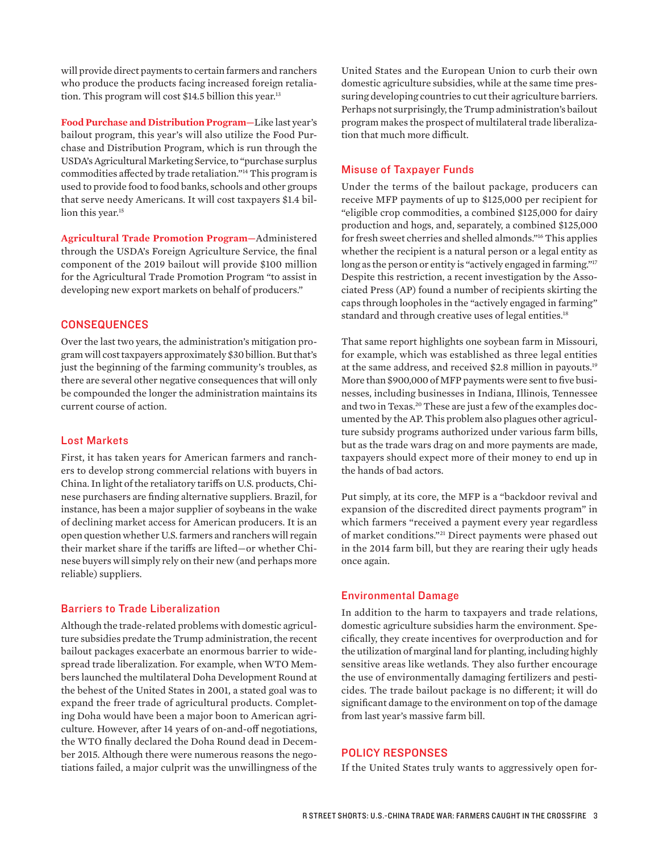<span id="page-2-0"></span>will provide direct payments to certain farmers and ranchers who produce the products facing increased foreign retaliation. This program will cost \$14.5 billion this year.<sup>13</sup>

**Food Purchase and Distribution Program—**Like last year's bailout program, this year's will also utilize the Food Purchase and Distribution Program, which is run through the USDA's Agricultural Marketing Service, to "purchase surplus commodities affected by trade retaliation."[14](#page-3-0) This program is used to provide food to food banks, schools and other groups that serve needy Americans. It will cost taxpayers \$1.4 billion this year.<sup>15</sup>

**Agricultural Trade Promotion Program—**Administered through the USDA's Foreign Agriculture Service, the final component of the 2019 bailout will provide \$100 million for the Agricultural Trade Promotion Program "to assist in developing new export markets on behalf of producers."

#### **CONSEQUENCES**

Over the last two years, the administration's mitigation program will cost taxpayers approximately \$30 billion. But that's just the beginning of the farming community's troubles, as there are several other negative consequences that will only be compounded the longer the administration maintains its current course of action.

#### Lost Markets

First, it has taken years for American farmers and ranchers to develop strong commercial relations with buyers in China. In light of the retaliatory tariffs on U.S. products, Chinese purchasers are finding alternative suppliers. Brazil, for instance, has been a major supplier of soybeans in the wake of declining market access for American producers. It is an open question whether U.S. farmers and ranchers will regain their market share if the tariffs are lifted—or whether Chinese buyers will simply rely on their new (and perhaps more reliable) suppliers.

#### Barriers to Trade Liberalization

Although the trade-related problems with domestic agriculture subsidies predate the Trump administration, the recent bailout packages exacerbate an enormous barrier to widespread trade liberalization. For example, when WTO Members launched the multilateral Doha Development Round at the behest of the United States in 2001, a stated goal was to expand the freer trade of agricultural products. Completing Doha would have been a major boon to American agriculture. However, after 14 years of on-and-off negotiations, the WTO finally declared the Doha Round dead in December 2015. Although there were numerous reasons the negotiations failed, a major culprit was the unwillingness of the

United States and the European Union to curb their own domestic agriculture subsidies, while at the same time pressuring developing countries to cut their agriculture barriers. Perhaps not surprisingly, the Trump administration's bailout program makes the prospect of multilateral trade liberalization that much more difficult.

#### Misuse of Taxpayer Funds

Under the terms of the bailout package, producers can receive MFP payments of up to \$125,000 per recipient for "eligible crop commodities, a combined \$125,000 for dairy production and hogs, and, separately, a combined \$125,000 for fresh sweet cherries and shelled almonds."[16](#page-3-0) This applies whether the recipient is a natural person or a legal entity as long as the person or entity is "actively engaged in farming."<sup>[17](#page-3-0)</sup> Despite this restriction, a recent investigation by the Associated Press (AP) found a number of recipients skirting the caps through loopholes in the "actively engaged in farming" standard and through creative uses of legal entities.<sup>18</sup>

That same report highlights one soybean farm in Missouri, for example, which was established as three legal entities at the same address, and received \$2.8 million in payouts[.19](#page-3-0) More than \$900,000 of MFP payments were sent to five businesses, including businesses in Indiana, Illinois, Tennessee and two in Texas.[20](#page-3-0) These are just a few of the examples documented by the AP. This problem also plagues other agriculture subsidy programs authorized under various farm bills, but as the trade wars drag on and more payments are made, taxpayers should expect more of their money to end up in the hands of bad actors.

Put simply, at its core, the MFP is a "backdoor revival and expansion of the discredited direct payments program" in which farmers "received a payment every year regardless of market conditions."[21](#page-3-0) Direct payments were phased out in the 2014 farm bill, but they are rearing their ugly heads once again.

#### Environmental Damage

In addition to the harm to taxpayers and trade relations, domestic agriculture subsidies harm the environment. Specifically, they create incentives for overproduction and for the utilization of marginal land for planting, including highly sensitive areas like wetlands. They also further encourage the use of environmentally damaging fertilizers and pesticides. The trade bailout package is no different; it will do significant damage to the environment on top of the damage from last year's massive farm bill.

#### POLICY RESPONSES

If the United States truly wants to aggressively open for-